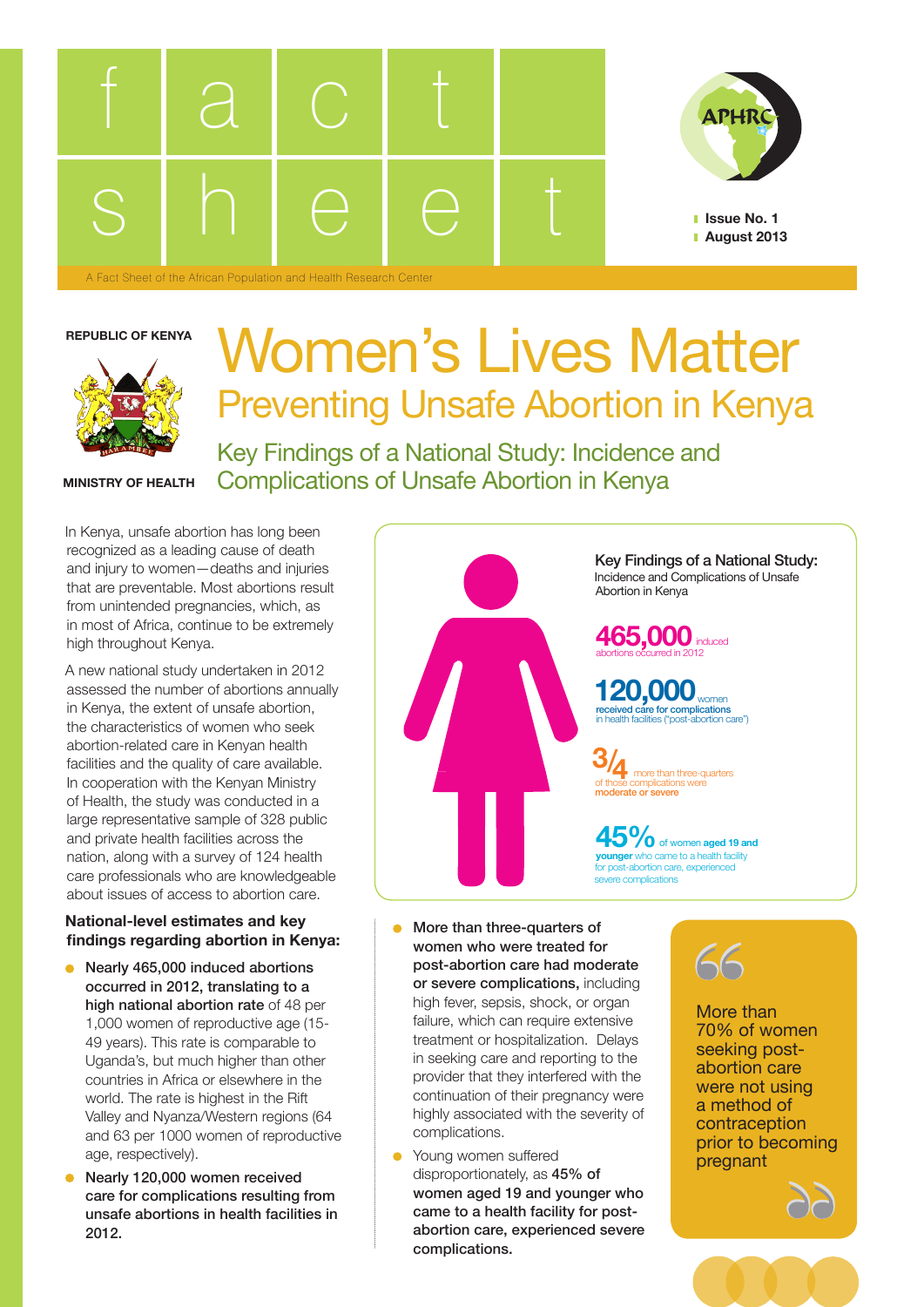



**Issue No. 1 August 2013**

## **REPUBLIC OF KENYA**



## Women's Lives Matter Preventing Unsafe Abortion in Kenya

**MINISTRY OF HEALTH**

Key Findings of a National Study: Incidence and Complications of Unsafe Abortion in Kenya

In Kenya, unsafe abortion has long been recognized as a leading cause of death and injury to women—deaths and injuries that are preventable. Most abortions result from unintended pregnancies, which, as in most of Africa, continue to be extremely high throughout Kenya.

A new national study undertaken in 2012 assessed the number of abortions annually in Kenya, the extent of unsafe abortion, the characteristics of women who seek abortion-related care in Kenyan health facilities and the quality of care available. In cooperation with the Kenyan Ministry of Health, the study was conducted in a large representative sample of 328 public and private health facilities across the nation, along with a survey of 124 health care professionals who are knowledgeable about issues of access to abortion care.

## **National-level estimates and key findings regarding abortion in Kenya:**

- Nearly 465,000 induced abortions  $\bullet$ occurred in 2012, translating to a high national abortion rate of 48 per 1,000 women of reproductive age (15- 49 years). This rate is comparable to Uganda's, but much higher than other countries in Africa or elsewhere in the world. The rate is highest in the Rift Valley and Nyanza/Western regions (64 and 63 per 1000 women of reproductive age, respectively).
- Nearly 120,000 women received care for complications resulting from unsafe abortions in health facilities in 2012.



- More than three-quarters of women who were treated for post-abortion care had moderate or severe complications, including high fever, sepsis, shock, or organ failure, which can require extensive treatment or hospitalization. Delays in seeking care and reporting to the provider that they interfered with the continuation of their pregnancy were highly associated with the severity of complications.
- **•** Young women suffered disproportionately, as 45% of women aged 19 and younger who came to a health facility for postabortion care, experienced severe complications.



More than 70% of women seeking postabortion care were not using a method of contraception prior to becoming pregnant